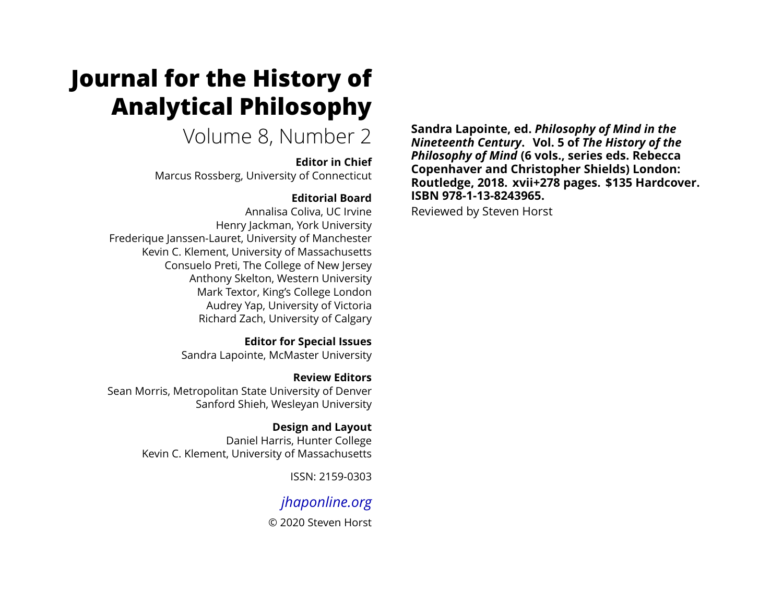# **Journal for the History of Analytical Philosophy**

Volume 8, Number 2

#### **Editor in Chief**

Marcus Rossberg, University of Connecticut

### **Editorial Board**

Annalisa Coliva, UC Irvine Henry Jackman, York University Frederique Janssen-Lauret, University of Manchester Kevin C. Klement, University of Massachusetts Consuelo Preti, The College of New Jersey Anthony Skelton, Western University Mark Textor, King's College London Audrey Yap, University of Victoria Richard Zach, University of Calgary

> **Editor for Special Issues** Sandra Lapointe, McMaster University

**Review Editors** Sean Morris, Metropolitan State University of Denver Sanford Shieh, Wesleyan University

> **Design and Layout** Daniel Harris, Hunter College Kevin C. Klement, University of Massachusetts

> > ISSN: 2159-0303

# *[jhaponline.org](https://jhaponline.org)*

© 2020 Steven Horst

**Sandra Lapointe, ed.** *Philosophy of Mind in the Nineteenth Century***. Vol. 5 of** *The History of the Philosophy of Mind* **(6 vols., series eds. Rebecca Copenhaver and Christopher Shields) London: Routledge, 2018. xvii+278 pages. \$135 Hardcover. ISBN 978-1-13-8243965.**

Reviewed by Steven Horst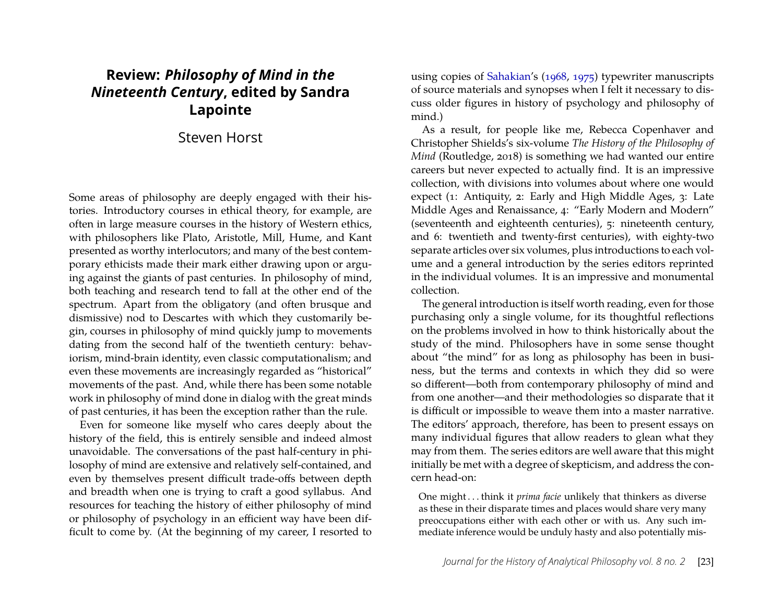## **Review:** *Philosophy of Mind in the Nineteenth Century***, edited by Sandra Lapointe**

#### Steven Horst

Some areas of philosophy are deeply engaged with their histories. Introductory courses in ethical theory, for example, are often in large measure courses in the history of Western ethics, with philosophers like Plato, Aristotle, Mill, Hume, and Kant presented as worthy interlocutors; and many of the best contemporary ethicists made their mark either drawing upon or arguing against the giants of past centuries. In philosophy of mind, both teaching and research tend to fall at the other end of the spectrum. Apart from the obligatory (and often brusque and dismissive) nod to Descartes with which they customarily begin, courses in philosophy of mind quickly jump to movements dating from the second half of the twentieth century: behaviorism, mind-brain identity, even classic computationalism; and even these movements are increasingly regarded as "historical" movements of the past. And, while there has been some notable work in philosophy of mind done in dialog with the great minds of past centuries, it has been the exception rather than the rule.

Even for someone like myself who cares deeply about the history of the field, this is entirely sensible and indeed almost unavoidable. The conversations of the past half-century in philosophy of mind are extensive and relatively self-contained, and even by themselves present difficult trade-offs between depth and breadth when one is trying to craft a good syllabus. And resources for teaching the history of either philosophy of mind or philosophy of psychology in an efficient way have been difficult to come by. (At the beginning of my career, I resorted to using copies of [Sahakian'](#page-12-0)s [\(1968,](#page-12-0) [1975\)](#page-12-1) typewriter manuscripts of source materials and synopses when I felt it necessary to discuss older figures in history of psychology and philosophy of mind.)

As a result, for people like me, Rebecca Copenhaver and Christopher Shields's six-volume *The History of the Philosophy of Mind* (Routledge, 2018) is something we had wanted our entire careers but never expected to actually find. It is an impressive collection, with divisions into volumes about where one would expect (1: Antiquity, 2: Early and High Middle Ages, 3: Late Middle Ages and Renaissance, 4: "Early Modern and Modern" (seventeenth and eighteenth centuries), 5: nineteenth century, and 6: twentieth and twenty-first centuries), with eighty-two separate articles over six volumes, plus introductions to each volume and a general introduction by the series editors reprinted in the individual volumes. It is an impressive and monumental collection.

The general introduction is itself worth reading, even for those purchasing only a single volume, for its thoughtful reflections on the problems involved in how to think historically about the study of the mind. Philosophers have in some sense thought about "the mind" for as long as philosophy has been in business, but the terms and contexts in which they did so were so different—both from contemporary philosophy of mind and from one another—and their methodologies so disparate that it is difficult or impossible to weave them into a master narrative. The editors' approach, therefore, has been to present essays on many individual figures that allow readers to glean what they may from them. The series editors are well aware that this might initially be met with a degree of skepticism, and address the concern head-on:

One might . . . think it *prima facie* unlikely that thinkers as diverse as these in their disparate times and places would share very many preoccupations either with each other or with us. Any such immediate inference would be unduly hasty and also potentially mis-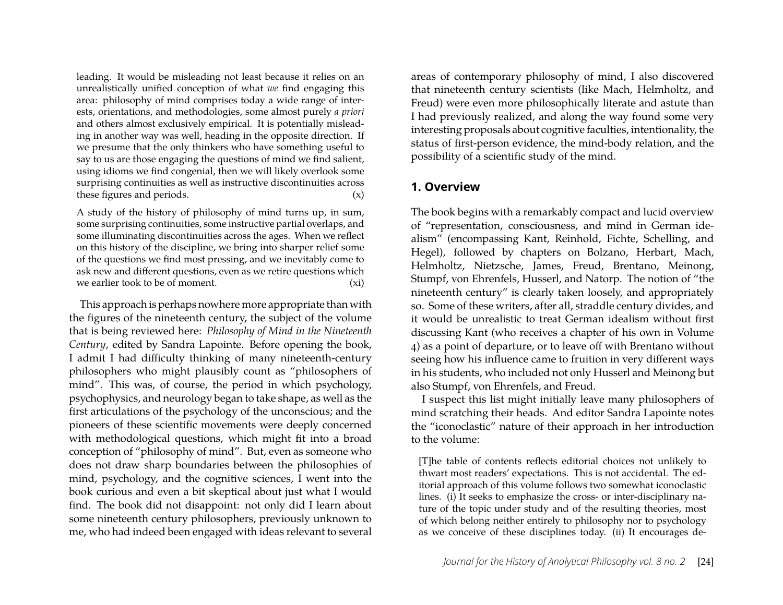leading. It would be misleading not least because it relies on an unrealistically unified conception of what *we* find engaging this area: philosophy of mind comprises today a wide range of interests, orientations, and methodologies, some almost purely *a priori* and others almost exclusively empirical. It is potentially misleading in another way was well, heading in the opposite direction. If we presume that the only thinkers who have something useful to say to us are those engaging the questions of mind we find salient, using idioms we find congenial, then we will likely overlook some surprising continuities as well as instructive discontinuities across these figures and periods.  $(x)$ 

A study of the history of philosophy of mind turns up, in sum, some surprising continuities, some instructive partial overlaps, and some illuminating discontinuities across the ages. When we reflect on this history of the discipline, we bring into sharper relief some of the questions we find most pressing, and we inevitably come to ask new and different questions, even as we retire questions which we earlier took to be of moment. (xi)

This approach is perhaps nowhere more appropriate than with the figures of the nineteenth century, the subject of the volume that is being reviewed here: *Philosophy of Mind in the Nineteenth Century*, edited by Sandra Lapointe. Before opening the book, I admit I had difficulty thinking of many nineteenth-century philosophers who might plausibly count as "philosophers of mind". This was, of course, the period in which psychology, psychophysics, and neurology began to take shape, as well as the first articulations of the psychology of the unconscious; and the pioneers of these scientific movements were deeply concerned with methodological questions, which might fit into a broad conception of "philosophy of mind". But, even as someone who does not draw sharp boundaries between the philosophies of mind, psychology, and the cognitive sciences, I went into the book curious and even a bit skeptical about just what I would find. The book did not disappoint: not only did I learn about some nineteenth century philosophers, previously unknown to me, who had indeed been engaged with ideas relevant to several

areas of contemporary philosophy of mind, I also discovered that nineteenth century scientists (like Mach, Helmholtz, and Freud) were even more philosophically literate and astute than I had previously realized, and along the way found some very interesting proposals about cognitive faculties, intentionality, the status of first-person evidence, the mind-body relation, and the possibility of a scientific study of the mind.

#### **1. Overview**

The book begins with a remarkably compact and lucid overview of "representation, consciousness, and mind in German idealism" (encompassing Kant, Reinhold, Fichte, Schelling, and Hegel), followed by chapters on Bolzano, Herbart, Mach, Helmholtz, Nietzsche, James, Freud, Brentano, Meinong, Stumpf, von Ehrenfels, Husserl, and Natorp. The notion of "the nineteenth century" is clearly taken loosely, and appropriately so. Some of these writers, after all, straddle century divides, and it would be unrealistic to treat German idealism without first discussing Kant (who receives a chapter of his own in Volume 4) as a point of departure, or to leave off with Brentano without seeing how his influence came to fruition in very different ways in his students, who included not only Husserl and Meinong but also Stumpf, von Ehrenfels, and Freud.

I suspect this list might initially leave many philosophers of mind scratching their heads. And editor Sandra Lapointe notes the "iconoclastic" nature of their approach in her introduction to the volume:

[T]he table of contents reflects editorial choices not unlikely to thwart most readers' expectations. This is not accidental. The editorial approach of this volume follows two somewhat iconoclastic lines. (i) It seeks to emphasize the cross- or inter-disciplinary nature of the topic under study and of the resulting theories, most of which belong neither entirely to philosophy nor to psychology as we conceive of these disciplines today. (ii) It encourages de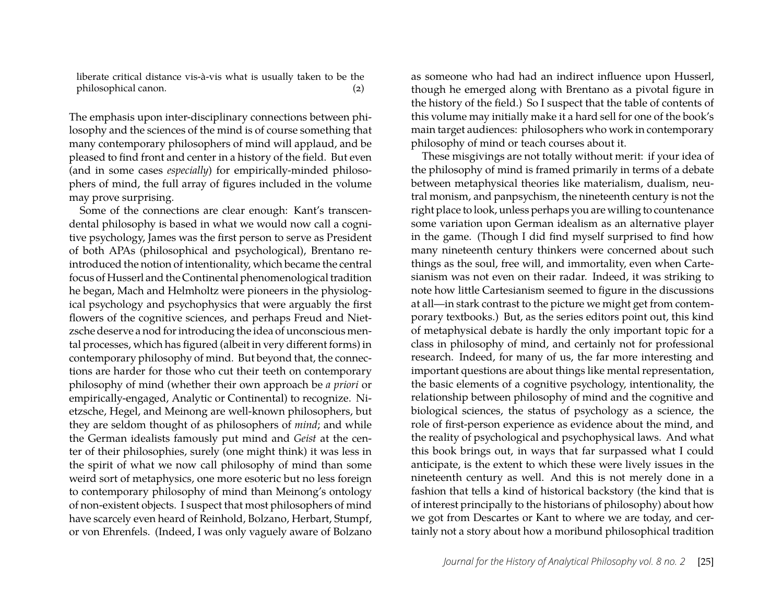liberate critical distance vis-à-vis what is usually taken to be the philosophical canon. (2)

The emphasis upon inter-disciplinary connections between philosophy and the sciences of the mind is of course something that many contemporary philosophers of mind will applaud, and be pleased to find front and center in a history of the field. But even (and in some cases *especially*) for empirically-minded philosophers of mind, the full array of figures included in the volume may prove surprising.

Some of the connections are clear enough: Kant's transcendental philosophy is based in what we would now call a cognitive psychology, James was the first person to serve as President of both APAs (philosophical and psychological), Brentano reintroduced the notion of intentionality, which became the central focus of Husserl and the Continental phenomenological tradition he began, Mach and Helmholtz were pioneers in the physiological psychology and psychophysics that were arguably the first flowers of the cognitive sciences, and perhaps Freud and Nietzsche deserve a nod for introducing the idea of unconscious mental processes, which has figured (albeit in very different forms) in contemporary philosophy of mind. But beyond that, the connections are harder for those who cut their teeth on contemporary philosophy of mind (whether their own approach be *a priori* or empirically-engaged, Analytic or Continental) to recognize. Nietzsche, Hegel, and Meinong are well-known philosophers, but they are seldom thought of as philosophers of *mind*; and while the German idealists famously put mind and *Geist* at the center of their philosophies, surely (one might think) it was less in the spirit of what we now call philosophy of mind than some weird sort of metaphysics, one more esoteric but no less foreign to contemporary philosophy of mind than Meinong's ontology of non-existent objects. I suspect that most philosophers of mind have scarcely even heard of Reinhold, Bolzano, Herbart, Stumpf, or von Ehrenfels. (Indeed, I was only vaguely aware of Bolzano

as someone who had had an indirect influence upon Husserl, though he emerged along with Brentano as a pivotal figure in the history of the field.) So I suspect that the table of contents of this volume may initially make it a hard sell for one of the book's main target audiences: philosophers who work in contemporary philosophy of mind or teach courses about it.

These misgivings are not totally without merit: if your idea of the philosophy of mind is framed primarily in terms of a debate between metaphysical theories like materialism, dualism, neutral monism, and panpsychism, the nineteenth century is not the right place to look, unless perhaps you are willing to countenance some variation upon German idealism as an alternative player in the game. (Though I did find myself surprised to find how many nineteenth century thinkers were concerned about such things as the soul, free will, and immortality, even when Cartesianism was not even on their radar. Indeed, it was striking to note how little Cartesianism seemed to figure in the discussions at all—in stark contrast to the picture we might get from contemporary textbooks.) But, as the series editors point out, this kind of metaphysical debate is hardly the only important topic for a class in philosophy of mind, and certainly not for professional research. Indeed, for many of us, the far more interesting and important questions are about things like mental representation, the basic elements of a cognitive psychology, intentionality, the relationship between philosophy of mind and the cognitive and biological sciences, the status of psychology as a science, the role of first-person experience as evidence about the mind, and the reality of psychological and psychophysical laws. And what this book brings out, in ways that far surpassed what I could anticipate, is the extent to which these were lively issues in the nineteenth century as well. And this is not merely done in a fashion that tells a kind of historical backstory (the kind that is of interest principally to the historians of philosophy) about how we got from Descartes or Kant to where we are today, and certainly not a story about how a moribund philosophical tradition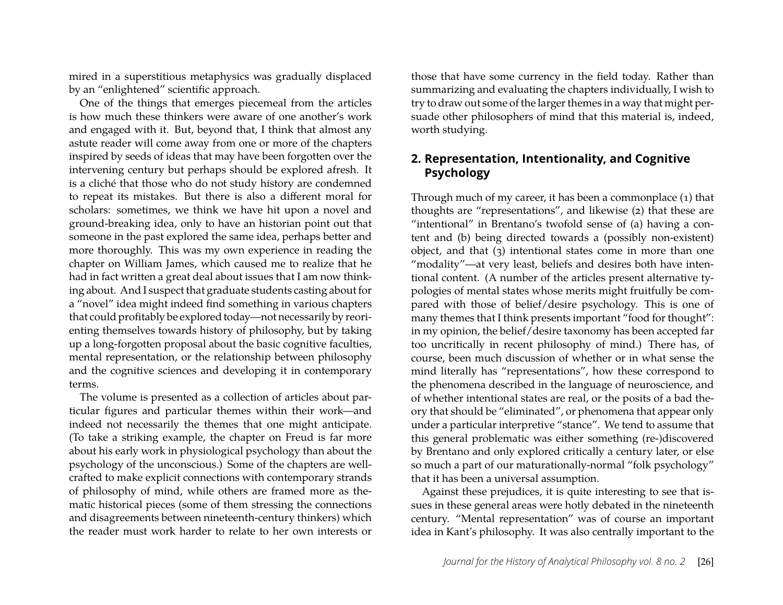mired in a superstitious metaphysics was gradually displaced by an "enlightened" scientific approach.

One of the things that emerges piecemeal from the articles is how much these thinkers were aware of one another's work and engaged with it. But, beyond that, I think that almost any astute reader will come away from one or more of the chapters inspired by seeds of ideas that may have been forgotten over the intervening century but perhaps should be explored afresh. It is a cliché that those who do not study history are condemned to repeat its mistakes. But there is also a different moral for scholars: sometimes, we think we have hit upon a novel and ground-breaking idea, only to have an historian point out that someone in the past explored the same idea, perhaps better and more thoroughly. This was my own experience in reading the chapter on William James, which caused me to realize that he had in fact written a great deal about issues that I am now thinking about. And I suspect that graduate students casting about for a "novel" idea might indeed find something in various chapters that could profitably be explored today—not necessarily by reorienting themselves towards history of philosophy, but by taking up a long-forgotten proposal about the basic cognitive faculties, mental representation, or the relationship between philosophy and the cognitive sciences and developing it in contemporary terms.

The volume is presented as a collection of articles about particular figures and particular themes within their work—and indeed not necessarily the themes that one might anticipate. (To take a striking example, the chapter on Freud is far more about his early work in physiological psychology than about the psychology of the unconscious.) Some of the chapters are wellcrafted to make explicit connections with contemporary strands of philosophy of mind, while others are framed more as thematic historical pieces (some of them stressing the connections and disagreements between nineteenth-century thinkers) which the reader must work harder to relate to her own interests or those that have some currency in the field today. Rather than summarizing and evaluating the chapters individually, I wish to try to draw out some of the larger themes in a way that might persuade other philosophers of mind that this material is, indeed, worth studying.

#### **2. Representation, Intentionality, and Cognitive Psychology**

Through much of my career, it has been a commonplace (1) that thoughts are "representations", and likewise (2) that these are "intentional" in Brentano's twofold sense of (a) having a content and (b) being directed towards a (possibly non-existent) object, and that (3) intentional states come in more than one "modality"—at very least, beliefs and desires both have intentional content. (A number of the articles present alternative typologies of mental states whose merits might fruitfully be compared with those of belief/desire psychology. This is one of many themes that I think presents important "food for thought": in my opinion, the belief/desire taxonomy has been accepted far too uncritically in recent philosophy of mind.) There has, of course, been much discussion of whether or in what sense the mind literally has "representations", how these correspond to the phenomena described in the language of neuroscience, and of whether intentional states are real, or the posits of a bad theory that should be "eliminated", or phenomena that appear only under a particular interpretive "stance". We tend to assume that this general problematic was either something (re-)discovered by Brentano and only explored critically a century later, or else so much a part of our maturationally-normal "folk psychology" that it has been a universal assumption.

Against these prejudices, it is quite interesting to see that issues in these general areas were hotly debated in the nineteenth century. "Mental representation" was of course an important idea in Kant's philosophy. It was also centrally important to the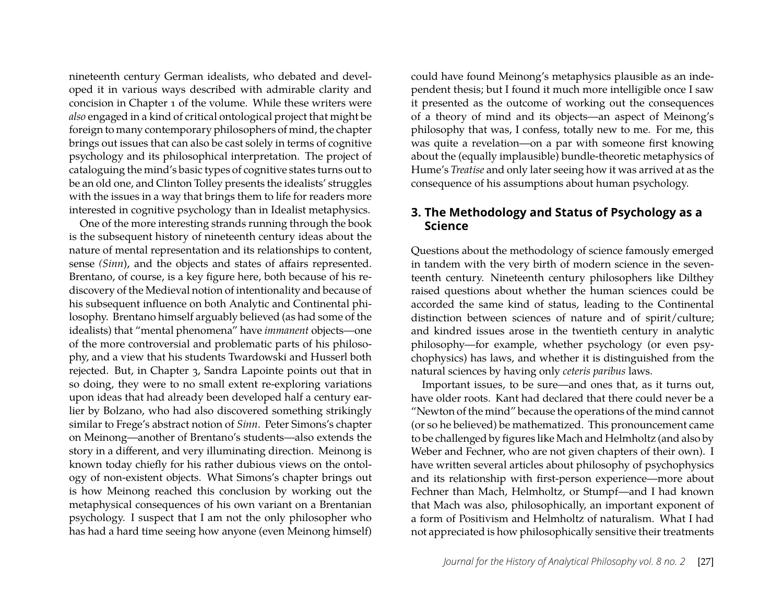nineteenth century German idealists, who debated and developed it in various ways described with admirable clarity and concision in Chapter 1 of the volume. While these writers were *also* engaged in a kind of critical ontological project that might be foreign to many contemporary philosophers of mind, the chapter brings out issues that can also be cast solely in terms of cognitive psychology and its philosophical interpretation. The project of cataloguing the mind's basic types of cognitive states turns out to be an old one, and Clinton Tolley presents the idealists' struggles with the issues in a way that brings them to life for readers more interested in cognitive psychology than in Idealist metaphysics.

One of the more interesting strands running through the book is the subsequent history of nineteenth century ideas about the nature of mental representation and its relationships to content, sense *(Sinn*), and the objects and states of affairs represented. Brentano, of course, is a key figure here, both because of his rediscovery of the Medieval notion of intentionality and because of his subsequent influence on both Analytic and Continental philosophy. Brentano himself arguably believed (as had some of the idealists) that "mental phenomena" have *immanent* objects—one of the more controversial and problematic parts of his philosophy, and a view that his students Twardowski and Husserl both rejected. But, in Chapter 3, Sandra Lapointe points out that in so doing, they were to no small extent re-exploring variations upon ideas that had already been developed half a century earlier by Bolzano, who had also discovered something strikingly similar to Frege's abstract notion of *Sinn*. Peter Simons's chapter on Meinong—another of Brentano's students—also extends the story in a different, and very illuminating direction. Meinong is known today chiefly for his rather dubious views on the ontology of non-existent objects. What Simons's chapter brings out is how Meinong reached this conclusion by working out the metaphysical consequences of his own variant on a Brentanian psychology. I suspect that I am not the only philosopher who has had a hard time seeing how anyone (even Meinong himself)

could have found Meinong's metaphysics plausible as an independent thesis; but I found it much more intelligible once I saw it presented as the outcome of working out the consequences of a theory of mind and its objects—an aspect of Meinong's philosophy that was, I confess, totally new to me. For me, this was quite a revelation—on a par with someone first knowing about the (equally implausible) bundle-theoretic metaphysics of Hume's *Treatise* and only later seeing how it was arrived at as the consequence of his assumptions about human psychology.

#### **3. The Methodology and Status of Psychology as a Science**

Questions about the methodology of science famously emerged in tandem with the very birth of modern science in the seventeenth century. Nineteenth century philosophers like Dilthey raised questions about whether the human sciences could be accorded the same kind of status, leading to the Continental distinction between sciences of nature and of spirit/culture; and kindred issues arose in the twentieth century in analytic philosophy—for example, whether psychology (or even psychophysics) has laws, and whether it is distinguished from the natural sciences by having only *ceteris paribus* laws.

Important issues, to be sure—and ones that, as it turns out, have older roots. Kant had declared that there could never be a "Newton of the mind" because the operations of the mind cannot (or so he believed) be mathematized. This pronouncement came to be challenged by figures like Mach and Helmholtz (and also by Weber and Fechner, who are not given chapters of their own). I have written several articles about philosophy of psychophysics and its relationship with first-person experience—more about Fechner than Mach, Helmholtz, or Stumpf—and I had known that Mach was also, philosophically, an important exponent of a form of Positivism and Helmholtz of naturalism. What I had not appreciated is how philosophically sensitive their treatments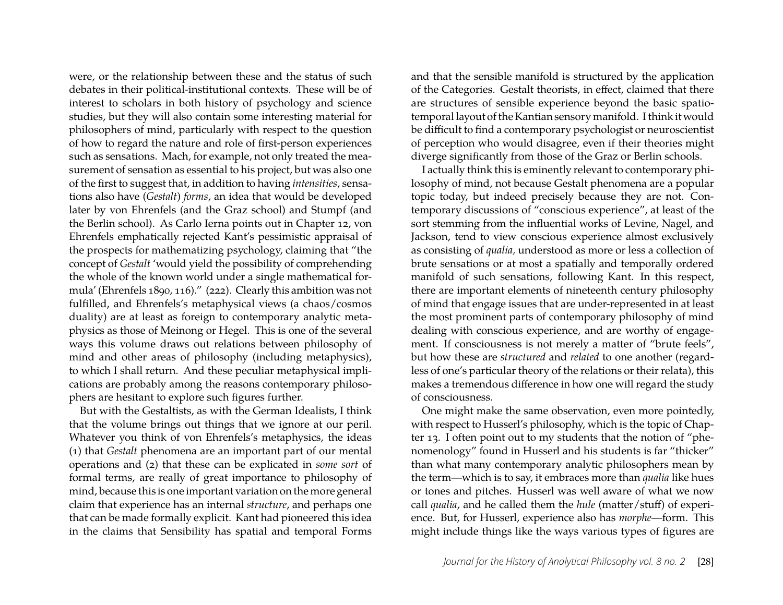were, or the relationship between these and the status of such debates in their political-institutional contexts. These will be of interest to scholars in both history of psychology and science studies, but they will also contain some interesting material for philosophers of mind, particularly with respect to the question of how to regard the nature and role of first-person experiences such as sensations. Mach, for example, not only treated the measurement of sensation as essential to his project, but was also one of the first to suggest that, in addition to having *intensities*, sensations also have (*Gestalt*) *forms*, an idea that would be developed later by von Ehrenfels (and the Graz school) and Stumpf (and the Berlin school). As Carlo Ierna points out in Chapter 12, von Ehrenfels emphatically rejected Kant's pessimistic appraisal of the prospects for mathematizing psychology, claiming that "the concept of *Gestalt* 'would yield the possibility of comprehending the whole of the known world under a single mathematical formula' (Ehrenfels 1890, 116)." (222). Clearly this ambition was not fulfilled, and Ehrenfels's metaphysical views (a chaos/cosmos duality) are at least as foreign to contemporary analytic metaphysics as those of Meinong or Hegel. This is one of the several ways this volume draws out relations between philosophy of mind and other areas of philosophy (including metaphysics), to which I shall return. And these peculiar metaphysical implications are probably among the reasons contemporary philosophers are hesitant to explore such figures further.

But with the Gestaltists, as with the German Idealists, I think that the volume brings out things that we ignore at our peril. Whatever you think of von Ehrenfels's metaphysics, the ideas (1) that *Gestalt* phenomena are an important part of our mental operations and (2) that these can be explicated in *some sort* of formal terms, are really of great importance to philosophy of mind, because this is one important variation on the more general claim that experience has an internal *structure*, and perhaps one that can be made formally explicit. Kant had pioneered this idea in the claims that Sensibility has spatial and temporal Forms

and that the sensible manifold is structured by the application of the Categories. Gestalt theorists, in effect, claimed that there are structures of sensible experience beyond the basic spatiotemporal layout of the Kantian sensory manifold. I think it would be difficult to find a contemporary psychologist or neuroscientist of perception who would disagree, even if their theories might diverge significantly from those of the Graz or Berlin schools.

I actually think this is eminently relevant to contemporary philosophy of mind, not because Gestalt phenomena are a popular topic today, but indeed precisely because they are not. Contemporary discussions of "conscious experience", at least of the sort stemming from the influential works of Levine, Nagel, and Jackson, tend to view conscious experience almost exclusively as consisting of *qualia,* understood as more or less a collection of brute sensations or at most a spatially and temporally ordered manifold of such sensations, following Kant. In this respect, there are important elements of nineteenth century philosophy of mind that engage issues that are under-represented in at least the most prominent parts of contemporary philosophy of mind dealing with conscious experience, and are worthy of engagement. If consciousness is not merely a matter of "brute feels", but how these are *structured* and *related* to one another (regardless of one's particular theory of the relations or their relata), this makes a tremendous difference in how one will regard the study of consciousness.

One might make the same observation, even more pointedly, with respect to Husserl's philosophy, which is the topic of Chapter 13. I often point out to my students that the notion of "phenomenology" found in Husserl and his students is far "thicker" than what many contemporary analytic philosophers mean by the term—which is to say, it embraces more than *qualia* like hues or tones and pitches. Husserl was well aware of what we now call *qualia*, and he called them the *hule* (matter/stuff) of experience. But, for Husserl, experience also has *morphe*—form. This might include things like the ways various types of figures are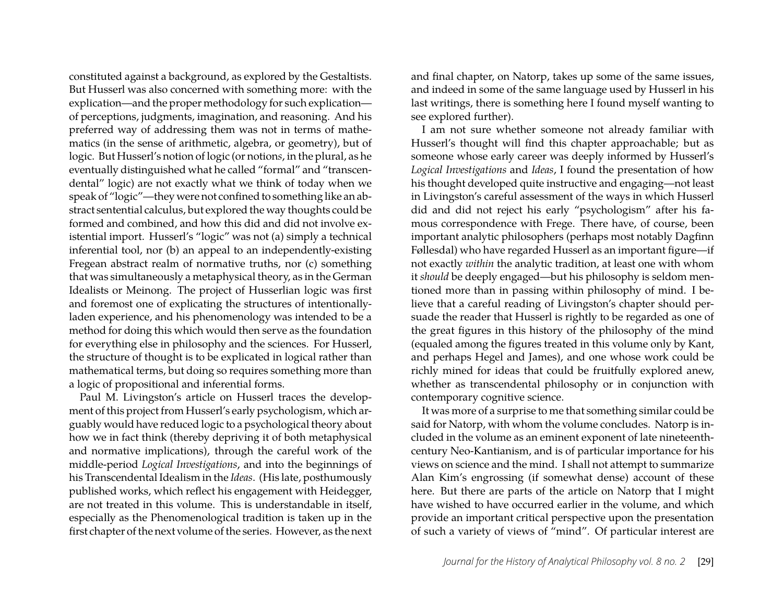constituted against a background, as explored by the Gestaltists. But Husserl was also concerned with something more: with the explication—and the proper methodology for such explication of perceptions, judgments, imagination, and reasoning. And his preferred way of addressing them was not in terms of mathematics (in the sense of arithmetic, algebra, or geometry), but of logic. But Husserl's notion of logic (or notion*s*, in the plural, as he eventually distinguished what he called "formal" and "transcendental" logic) are not exactly what we think of today when we speak of "logic"—they were not confined to something like an abstract sentential calculus, but explored the way thoughts could be formed and combined, and how this did and did not involve existential import. Husserl's "logic" was not (a) simply a technical inferential tool, nor (b) an appeal to an independently-existing Fregean abstract realm of normative truths, nor (c) something that was simultaneously a metaphysical theory, as in the German Idealists or Meinong. The project of Husserlian logic was first and foremost one of explicating the structures of intentionallyladen experience, and his phenomenology was intended to be a method for doing this which would then serve as the foundation for everything else in philosophy and the sciences. For Husserl, the structure of thought is to be explicated in logical rather than mathematical terms, but doing so requires something more than a logic of propositional and inferential forms.

Paul M. Livingston's article on Husserl traces the development of this project from Husserl's early psychologism, which arguably would have reduced logic to a psychological theory about how we in fact think (thereby depriving it of both metaphysical and normative implications), through the careful work of the middle-period *Logical Investigations*, and into the beginnings of his Transcendental Idealism in the *Ideas*. (His late, posthumously published works, which reflect his engagement with Heidegger, are not treated in this volume. This is understandable in itself, especially as the Phenomenological tradition is taken up in the first chapter of the next volume of the series. However, as the next

and final chapter, on Natorp, takes up some of the same issues, and indeed in some of the same language used by Husserl in his last writings, there is something here I found myself wanting to see explored further).

I am not sure whether someone not already familiar with Husserl's thought will find this chapter approachable; but as someone whose early career was deeply informed by Husserl's *Logical Investigations* and *Ideas*, I found the presentation of how his thought developed quite instructive and engaging—not least in Livingston's careful assessment of the ways in which Husserl did and did not reject his early "psychologism" after his famous correspondence with Frege. There have, of course, been important analytic philosophers (perhaps most notably Dagfinn Føllesdal) who have regarded Husserl as an important figure—if not exactly *within* the analytic tradition, at least one with whom it *should* be deeply engaged—but his philosophy is seldom mentioned more than in passing within philosophy of mind. I believe that a careful reading of Livingston's chapter should persuade the reader that Husserl is rightly to be regarded as one of the great figures in this history of the philosophy of the mind (equaled among the figures treated in this volume only by Kant, and perhaps Hegel and James), and one whose work could be richly mined for ideas that could be fruitfully explored anew, whether as transcendental philosophy or in conjunction with contemporary cognitive science.

It was more of a surprise to me that something similar could be said for Natorp, with whom the volume concludes. Natorp is included in the volume as an eminent exponent of late nineteenthcentury Neo-Kantianism, and is of particular importance for his views on science and the mind. I shall not attempt to summarize Alan Kim's engrossing (if somewhat dense) account of these here. But there are parts of the article on Natorp that I might have wished to have occurred earlier in the volume, and which provide an important critical perspective upon the presentation of such a variety of views of "mind". Of particular interest are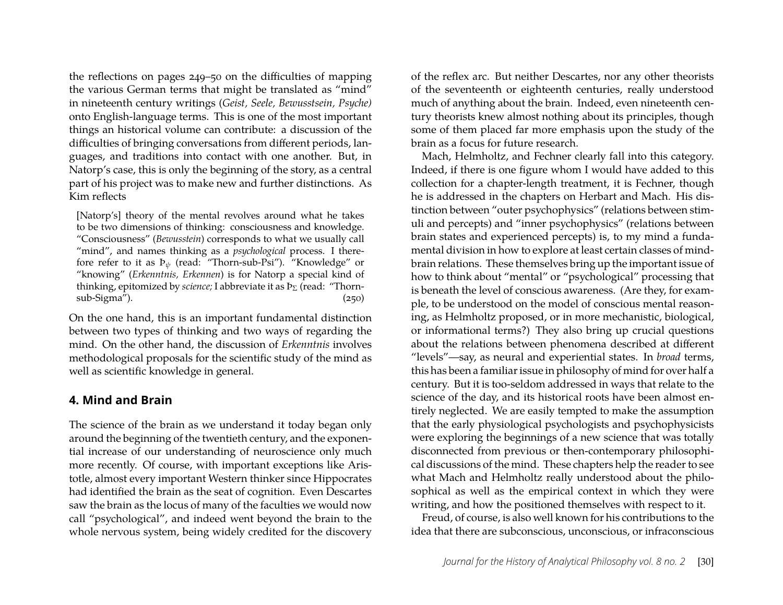the reflections on pages 249–50 on the difficulties of mapping the various German terms that might be translated as "mind" in nineteenth century writings (*Geist, Seele, Bewusstsein, Psyche)* onto English-language terms. This is one of the most important things an historical volume can contribute: a discussion of the difficulties of bringing conversations from different periods, languages, and traditions into contact with one another. But, in Natorp's case, this is only the beginning of the story, as a central part of his project was to make new and further distinctions. As Kim reflects

[Natorp's] theory of the mental revolves around what he takes to be two dimensions of thinking: consciousness and knowledge. "Consciousness" (*Bewusstein*) corresponds to what we usually call "mind", and names thinking as a *psychological* process. I therefore refer to it as  $P_{\psi}$  (read: "Thorn-sub-Psi"). "Knowledge" or "knowing" (*Erkenntnis, Erkennen*) is for Natorp a special kind of thinking, epitomized by *science*; I abbreviate it as  $P_{\Sigma}$  (read: "Thornsub-Sigma"). (250)

On the one hand, this is an important fundamental distinction between two types of thinking and two ways of regarding the mind. On the other hand, the discussion of *Erkenntnis* involves methodological proposals for the scientific study of the mind as well as scientific knowledge in general.

#### **4. Mind and Brain**

The science of the brain as we understand it today began only around the beginning of the twentieth century, and the exponential increase of our understanding of neuroscience only much more recently. Of course, with important exceptions like Aristotle, almost every important Western thinker since Hippocrates had identified the brain as the seat of cognition. Even Descartes saw the brain as the locus of many of the faculties we would now call "psychological", and indeed went beyond the brain to the whole nervous system, being widely credited for the discovery

of the reflex arc. But neither Descartes, nor any other theorists of the seventeenth or eighteenth centuries, really understood much of anything about the brain. Indeed, even nineteenth century theorists knew almost nothing about its principles, though some of them placed far more emphasis upon the study of the brain as a focus for future research.

Mach, Helmholtz, and Fechner clearly fall into this category. Indeed, if there is one figure whom I would have added to this collection for a chapter-length treatment, it is Fechner, though he is addressed in the chapters on Herbart and Mach. His distinction between "outer psychophysics" (relations between stimuli and percepts) and "inner psychophysics" (relations between brain states and experienced percepts) is, to my mind a fundamental division in how to explore at least certain classes of mindbrain relations. These themselves bring up the important issue of how to think about "mental" or "psychological" processing that is beneath the level of conscious awareness. (Are they, for example, to be understood on the model of conscious mental reasoning, as Helmholtz proposed, or in more mechanistic, biological, or informational terms?) They also bring up crucial questions about the relations between phenomena described at different "levels"—say, as neural and experiential states. In *broad* terms, this has been a familiar issue in philosophy of mind for over half a century. But it is too-seldom addressed in ways that relate to the science of the day, and its historical roots have been almost entirely neglected. We are easily tempted to make the assumption that the early physiological psychologists and psychophysicists were exploring the beginnings of a new science that was totally disconnected from previous or then-contemporary philosophical discussions of the mind. These chapters help the reader to see what Mach and Helmholtz really understood about the philosophical as well as the empirical context in which they were writing, and how the positioned themselves with respect to it.

Freud, of course, is also well known for his contributions to the idea that there are subconscious, unconscious, or infraconscious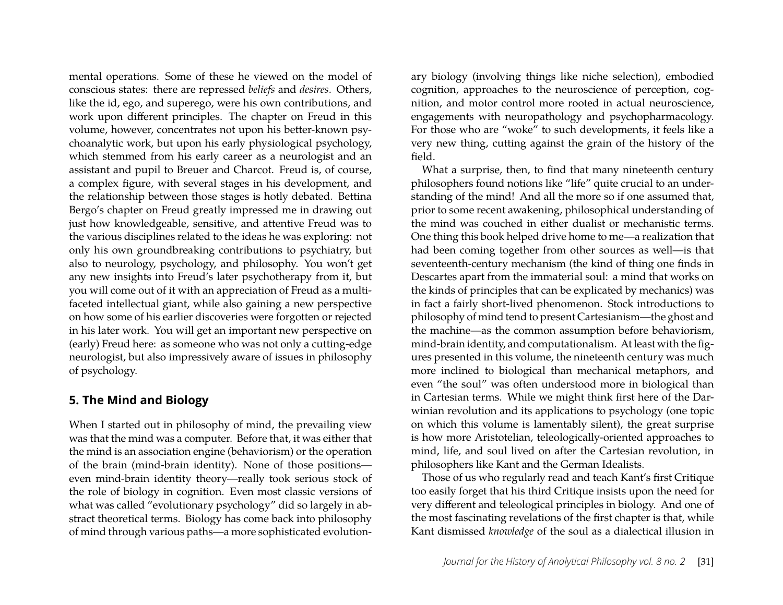mental operations. Some of these he viewed on the model of conscious states: there are repressed *beliefs* and *desires*. Others, like the id, ego, and superego, were his own contributions, and work upon different principles. The chapter on Freud in this volume, however, concentrates not upon his better-known psychoanalytic work, but upon his early physiological psychology, which stemmed from his early career as a neurologist and an assistant and pupil to Breuer and Charcot. Freud is, of course, a complex figure, with several stages in his development, and the relationship between those stages is hotly debated. Bettina Bergo's chapter on Freud greatly impressed me in drawing out just how knowledgeable, sensitive, and attentive Freud was to the various disciplines related to the ideas he was exploring: not only his own groundbreaking contributions to psychiatry, but also to neurology, psychology, and philosophy. You won't get any new insights into Freud's later psychotherapy from it, but you will come out of it with an appreciation of Freud as a multifaceted intellectual giant, while also gaining a new perspective on how some of his earlier discoveries were forgotten or rejected in his later work. You will get an important new perspective on (early) Freud here: as someone who was not only a cutting-edge neurologist, but also impressively aware of issues in philosophy of psychology.

#### **5. The Mind and Biology**

When I started out in philosophy of mind, the prevailing view was that the mind was a computer. Before that, it was either that the mind is an association engine (behaviorism) or the operation of the brain (mind-brain identity). None of those positions even mind-brain identity theory—really took serious stock of the role of biology in cognition. Even most classic versions of what was called "evolutionary psychology" did so largely in abstract theoretical terms. Biology has come back into philosophy of mind through various paths—a more sophisticated evolution-

ary biology (involving things like niche selection), embodied cognition, approaches to the neuroscience of perception, cognition, and motor control more rooted in actual neuroscience, engagements with neuropathology and psychopharmacology. For those who are "woke" to such developments, it feels like a very new thing, cutting against the grain of the history of the field.

What a surprise, then, to find that many nineteenth century philosophers found notions like "life" quite crucial to an understanding of the mind! And all the more so if one assumed that, prior to some recent awakening, philosophical understanding of the mind was couched in either dualist or mechanistic terms. One thing this book helped drive home to me—a realization that had been coming together from other sources as well—is that seventeenth-century mechanism (the kind of thing one finds in Descartes apart from the immaterial soul: a mind that works on the kinds of principles that can be explicated by mechanics) was in fact a fairly short-lived phenomenon. Stock introductions to philosophy of mind tend to present Cartesianism—the ghost and the machine—as the common assumption before behaviorism, mind-brain identity, and computationalism. At least with the figures presented in this volume, the nineteenth century was much more inclined to biological than mechanical metaphors, and even "the soul" was often understood more in biological than in Cartesian terms. While we might think first here of the Darwinian revolution and its applications to psychology (one topic on which this volume is lamentably silent), the great surprise is how more Aristotelian, teleologically-oriented approaches to mind, life, and soul lived on after the Cartesian revolution, in philosophers like Kant and the German Idealists.

Those of us who regularly read and teach Kant's first Critique too easily forget that his third Critique insists upon the need for very different and teleological principles in biology. And one of the most fascinating revelations of the first chapter is that, while Kant dismissed *knowledge* of the soul as a dialectical illusion in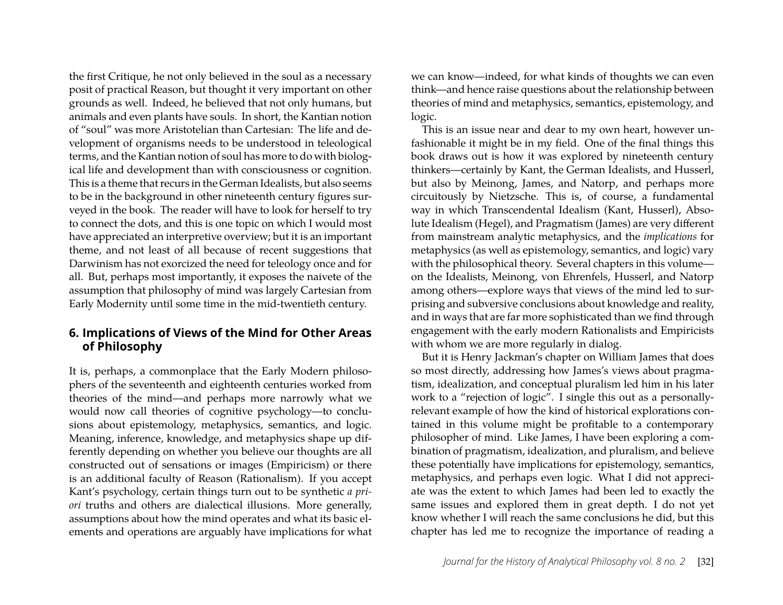the first Critique, he not only believed in the soul as a necessary posit of practical Reason, but thought it very important on other grounds as well. Indeed, he believed that not only humans, but animals and even plants have souls. In short, the Kantian notion of "soul" was more Aristotelian than Cartesian: The life and development of organisms needs to be understood in teleological terms, and the Kantian notion of soul has more to do with biological life and development than with consciousness or cognition. This is a theme that recurs in the German Idealists, but also seems to be in the background in other nineteenth century figures surveyed in the book. The reader will have to look for herself to try to connect the dots, and this is one topic on which I would most have appreciated an interpretive overview; but it is an important theme, and not least of all because of recent suggestions that Darwinism has not exorcized the need for teleology once and for all. But, perhaps most importantly, it exposes the naivete of the assumption that philosophy of mind was largely Cartesian from Early Modernity until some time in the mid-twentieth century.

#### **6. Implications of Views of the Mind for Other Areas of Philosophy**

It is, perhaps, a commonplace that the Early Modern philosophers of the seventeenth and eighteenth centuries worked from theories of the mind—and perhaps more narrowly what we would now call theories of cognitive psychology—to conclusions about epistemology, metaphysics, semantics, and logic. Meaning, inference, knowledge, and metaphysics shape up differently depending on whether you believe our thoughts are all constructed out of sensations or images (Empiricism) or there is an additional faculty of Reason (Rationalism). If you accept Kant's psychology, certain things turn out to be synthetic *a priori* truths and others are dialectical illusions. More generally, assumptions about how the mind operates and what its basic elements and operations are arguably have implications for what

we can know—indeed, for what kinds of thoughts we can even think—and hence raise questions about the relationship between theories of mind and metaphysics, semantics, epistemology, and logic.

This is an issue near and dear to my own heart, however unfashionable it might be in my field. One of the final things this book draws out is how it was explored by nineteenth century thinkers—certainly by Kant, the German Idealists, and Husserl, but also by Meinong, James, and Natorp, and perhaps more circuitously by Nietzsche. This is, of course, a fundamental way in which Transcendental Idealism (Kant, Husserl), Absolute Idealism (Hegel), and Pragmatism (James) are very different from mainstream analytic metaphysics, and the *implications* for metaphysics (as well as epistemology, semantics, and logic) vary with the philosophical theory. Several chapters in this volume on the Idealists, Meinong, von Ehrenfels, Husserl, and Natorp among others—explore ways that views of the mind led to surprising and subversive conclusions about knowledge and reality, and in ways that are far more sophisticated than we find through engagement with the early modern Rationalists and Empiricists with whom we are more regularly in dialog.

But it is Henry Jackman's chapter on William James that does so most directly, addressing how James's views about pragmatism, idealization, and conceptual pluralism led him in his later work to a "rejection of logic". I single this out as a personallyrelevant example of how the kind of historical explorations contained in this volume might be profitable to a contemporary philosopher of mind. Like James, I have been exploring a combination of pragmatism, idealization, and pluralism, and believe these potentially have implications for epistemology, semantics, metaphysics, and perhaps even logic. What I did not appreciate was the extent to which James had been led to exactly the same issues and explored them in great depth. I do not yet know whether I will reach the same conclusions he did, but this chapter has led me to recognize the importance of reading a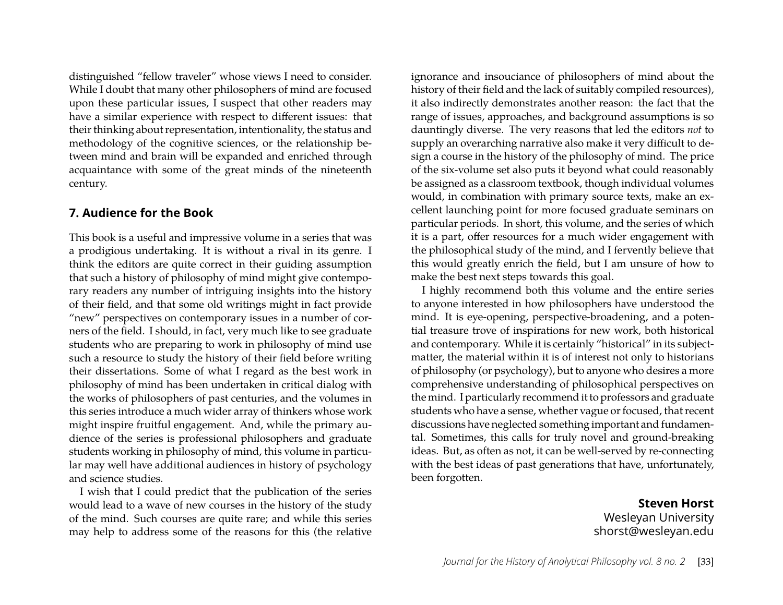distinguished "fellow traveler" whose views I need to consider. While I doubt that many other philosophers of mind are focused upon these particular issues, I suspect that other readers may have a similar experience with respect to different issues: that their thinking about representation, intentionality, the status and methodology of the cognitive sciences, or the relationship between mind and brain will be expanded and enriched through acquaintance with some of the great minds of the nineteenth century.

#### **7. Audience for the Book**

This book is a useful and impressive volume in a series that was a prodigious undertaking. It is without a rival in its genre. I think the editors are quite correct in their guiding assumption that such a history of philosophy of mind might give contemporary readers any number of intriguing insights into the history of their field, and that some old writings might in fact provide "new" perspectives on contemporary issues in a number of corners of the field. I should, in fact, very much like to see graduate students who are preparing to work in philosophy of mind use such a resource to study the history of their field before writing their dissertations. Some of what I regard as the best work in philosophy of mind has been undertaken in critical dialog with the works of philosophers of past centuries, and the volumes in this series introduce a much wider array of thinkers whose work might inspire fruitful engagement. And, while the primary audience of the series is professional philosophers and graduate students working in philosophy of mind, this volume in particular may well have additional audiences in history of psychology and science studies.

I wish that I could predict that the publication of the series would lead to a wave of new courses in the history of the study of the mind. Such courses are quite rare; and while this series may help to address some of the reasons for this (the relative

ignorance and insouciance of philosophers of mind about the history of their field and the lack of suitably compiled resources), it also indirectly demonstrates another reason: the fact that the range of issues, approaches, and background assumptions is so dauntingly diverse. The very reasons that led the editors *not* to supply an overarching narrative also make it very difficult to design a course in the history of the philosophy of mind. The price of the six-volume set also puts it beyond what could reasonably be assigned as a classroom textbook, though individual volumes would, in combination with primary source texts, make an excellent launching point for more focused graduate seminars on particular periods. In short, this volume, and the series of which it is a part, offer resources for a much wider engagement with the philosophical study of the mind, and I fervently believe that this would greatly enrich the field, but I am unsure of how to make the best next steps towards this goal.

I highly recommend both this volume and the entire series to anyone interested in how philosophers have understood the mind. It is eye-opening, perspective-broadening, and a potential treasure trove of inspirations for new work, both historical and contemporary. While it is certainly "historical" in its subjectmatter, the material within it is of interest not only to historians of philosophy (or psychology), but to anyone who desires a more comprehensive understanding of philosophical perspectives on the mind. I particularly recommend it to professors and graduate students who have a sense, whether vague or focused, that recent discussions have neglected something important and fundamental. Sometimes, this calls for truly novel and ground-breaking ideas. But, as often as not, it can be well-served by re-connecting with the best ideas of past generations that have, unfortunately, been forgotten.

> **Steven Horst** Wesleyan University shorst@wesleyan.edu